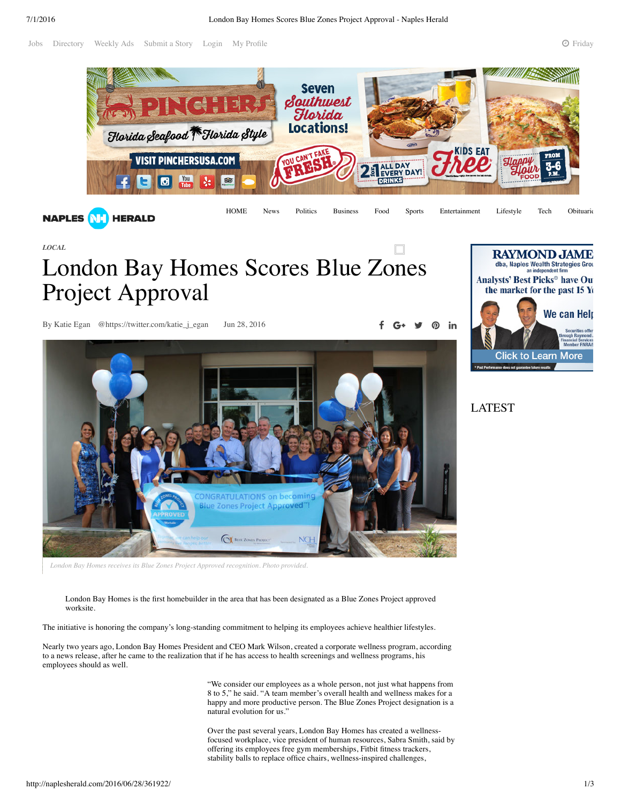Jobs Directory Weekly Ads Submit a Story Login My Profile 2 **Friday, 2016** Friday, 2016



*LOCAL*

## London Bay Homes Scores Blue Zones Project Approval

By Katie Egan @https://twitter.com/katie\_j\_egan Jun 28, 2016 **f**  $G^*$  **f**  $G^*$ 





*London Bay Homes receives its Blue Zones Project Approved recognition. Photo provided.*

London Bay Homes is the first homebuilder in the area that has been designated as a Blue Zones Project approved worksite.

The initiative is honoring the company's long-standing commitment to helping its employees achieve healthier lifestyles.

Nearly two years ago, London Bay Homes President and CEO Mark Wilson, created a corporate wellness program, according to a news release, after he came to the realization that if he has access to health screenings and wellness programs, his employees should as well.

> "We consider our employees as a whole person, not just what happens from 8 to 5," he said. "A team member's overall health and wellness makes for a happy and more productive person. The Blue Zones Project designation is a natural evolution for us."

> Over the past several years, London Bay Homes has created a wellnessfocused workplace, vice president of human resources, Sabra Smith, said by offering its employees free gym memberships, Fitbit fitness trackers, stability balls to replace office chairs, wellness-inspired challenges,



LATEST